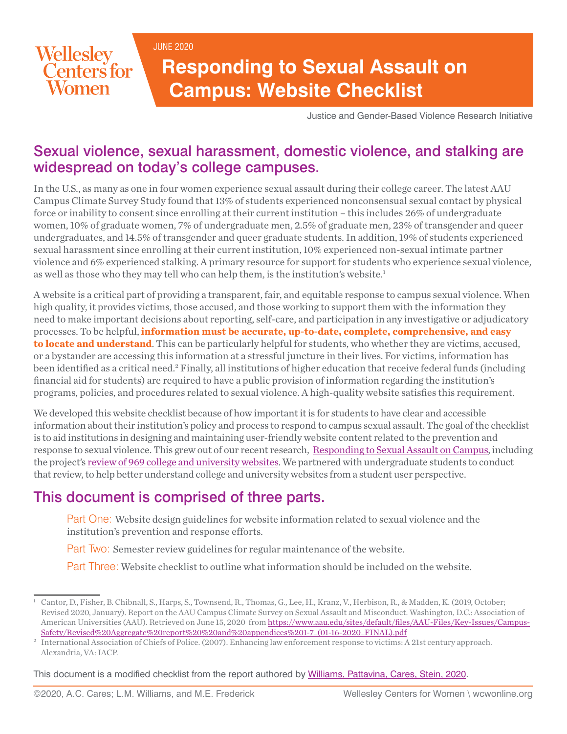JUNE 2020



# **Responding to Sexual Assault on Campus: Website Checklist**

Justice and Gender-Based Violence Research Initiative

### Sexual violence, sexual harassment, domestic violence, and stalking are widespread on today's college campuses.

In the U.S., as many as one in four women experience sexual assault during their college career. The latest AAU Campus Climate Survey Study found that 13% of students experienced nonconsensual sexual contact by physical force or inability to consent since enrolling at their current institution – this includes 26% of undergraduate women, 10% of graduate women, 7% of undergraduate men, 2.5% of graduate men, 23% of transgender and queer undergraduates, and 14.5% of transgender and queer graduate students. In addition, 19% of students experienced sexual harassment since enrolling at their current institution, 10% experienced non-sexual intimate partner violence and 6% experienced stalking. A primary resource for support for students who experience sexual violence, as well as those who they may tell who can help them, is the institution's website.<sup>1</sup>

A website is a critical part of providing a transparent, fair, and equitable response to campus sexual violence. When high quality, it provides victims, those accused, and those working to support them with the information they need to make important decisions about reporting, self-care, and participation in any investigative or adjudicatory processes. To be helpful, **information must be accurate, up-to-date, complete, comprehensive, and easy to locate and understand**. This can be particularly helpful for students, who whether they are victims, accused, or a bystander are accessing this information at a stressful juncture in their lives. For victims, information has been identified as a critical need.<sup>2</sup> Finally, all institutions of higher education that receive federal funds (including financial aid for students) are required to have a public provision of information regarding the institution's programs, policies, and procedures related to sexual violence. A high-quality website satisfies this requirement.

We developed this website checklist because of how important it is for students to have clear and accessible information about their institution's policy and process to respond to campus sexual assault. The goal of the checklist is to aid institutions in designing and maintaining user-friendly website content related to the prevention and response to sexual violence. This grew out of our recent research, [Responding to Sexual Assault on Campus](https://www.wcwonline.org/Justice-and-Gender-based-Violence-Research-Site/responding-to-sexual-assault-on-campus), including the project's [review of 969 college and university websites.](https://www.wcwonline.org/images/pdf/jgbvr/rsacc-2pages-fall2017poster.pdf) We partnered with undergraduate students to conduct that review, to help better understand college and university websites from a student user perspective.

# This document is comprised of three parts.

Part One: Website design guidelines for website information related to sexual violence and the institution's prevention and response efforts.

Part Two: Semester review guidelines for regular maintenance of the website.

Part Three: Website checklist to outline what information should be included on the website.

This document is a modified checklist from the report authored by [Williams, Pattavina, Cares, Stein, 2020](https://www.ncjrs.gov/pdffiles1/nij/grants/254671.pdf).

<sup>1</sup> Cantor, D., Fisher, B. Chibnall, S., Harps, S., Townsend, R., Thomas, G., Lee, H., Kranz, V., Herbison, R., & Madden, K. (2019, October; Revised 2020, January). Report on the AAU Campus Climate Survey on Sexual Assault and Misconduct. Washington, D.C.: Association of American Universities (AAU). Retrieved on June 15, 2020 from [https://www.aau.edu/sites/default/files/AAU-Files/Key-Issues/Campus-](https://www.aau.edu/sites/default/files/AAU-Files/Key-Issues/Campus-Safety/Revised%20Aggregate%20report%20%20and%20appendices%201-7_(01-16-2020_FINAL).pdf)[Safety/Revised%20Aggregate%20report%20%20and%20appendices%201-7\\_\(01-16-2020\\_FINAL\).pdf](https://www.aau.edu/sites/default/files/AAU-Files/Key-Issues/Campus-Safety/Revised%20Aggregate%20report%20%20and%20appendices%201-7_(01-16-2020_FINAL).pdf)

<sup>2</sup> International Association of Chiefs of Police. (2007). Enhancing law enforcement response to victims: A 21st century approach. Alexandria, VA: IACP.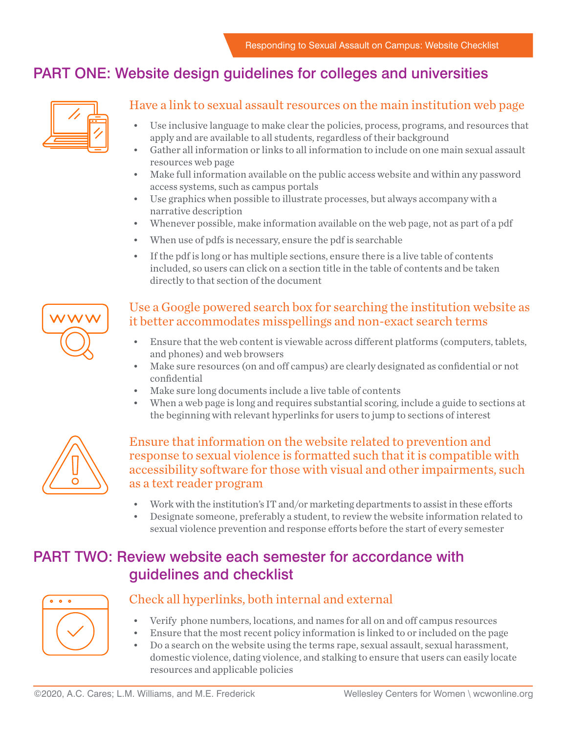## PART ONE: Website design guidelines for colleges and universities



#### Have a link to sexual assault resources on the main institution web page

- Use inclusive language to make clear the policies, process, programs, and resources that apply and are available to all students, regardless of their background
- Gather all information or links to all information to include on one main sexual assault resources web page
- Make full information available on the public access website and within any password access systems, such as campus portals
- Use graphics when possible to illustrate processes, but always accompany with a narrative description
- Whenever possible, make information available on the web page, not as part of a pdf
- When use of pdfs is necessary, ensure the pdf is searchable
- If the pdf is long or has multiple sections, ensure there is a live table of contents included, so users can click on a section title in the table of contents and be taken directly to that section of the document

# Use a Google powered search box for searching the institution website as it better accommodates misspellings and non-exact search terms

- Ensure that the web content is viewable across different platforms (computers, tablets, and phones) and web browsers
- Make sure resources (on and off campus) are clearly designated as confidential or not confidential
- Make sure long documents include a live table of contents
- When a web page is long and requires substantial scoring, include a guide to sections at the beginning with relevant hyperlinks for users to jump to sections of interest



#### Ensure that information on the website related to prevention and response to sexual violence is formatted such that it is compatible with accessibility software for those with visual and other impairments, such as a text reader program

- Work with the institution's IT and/or marketing departments to assist in these efforts
- Designate someone, preferably a student, to review the website information related to sexual violence prevention and response efforts before the start of every semester

## PART TWO: Review website each semester for accordance with guidelines and checklist



#### Check all hyperlinks, both internal and external

- Verify phone numbers, locations, and names for all on and off campus resources
- Ensure that the most recent policy information is linked to or included on the page
- Do a search on the website using the terms rape, sexual assault, sexual harassment, domestic violence, dating violence, and stalking to ensure that users can easily locate resources and applicable policies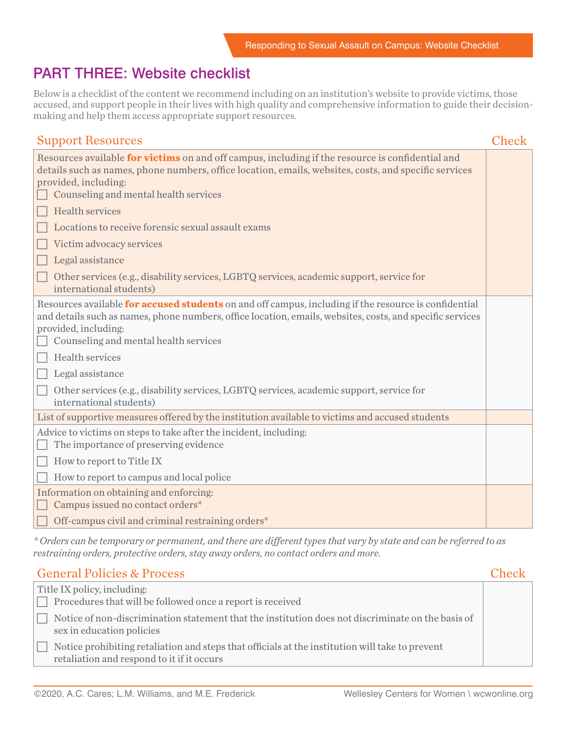# PART THREE: Website checklist

Below is a checklist of the content we recommend including on an institution's website to provide victims, those accused, and support people in their lives with high quality and comprehensive information to guide their decisionmaking and help them access appropriate support resources.

| <b>Support Resources</b>                                                                                                                                                                                                                                                                                                                                                                                                                                                                               | <b>Check</b> |
|--------------------------------------------------------------------------------------------------------------------------------------------------------------------------------------------------------------------------------------------------------------------------------------------------------------------------------------------------------------------------------------------------------------------------------------------------------------------------------------------------------|--------------|
| Resources available for victims on and off campus, including if the resource is confidential and<br>details such as names, phone numbers, office location, emails, websites, costs, and specific services<br>provided, including:<br>Counseling and mental health services<br><b>Health services</b><br>Locations to receive forensic sexual assault exams<br>Victim advocacy services<br>Legal assistance<br>Other services (e.g., disability services, LGBTQ services, academic support, service for |              |
| international students)                                                                                                                                                                                                                                                                                                                                                                                                                                                                                |              |
| Resources available for accused students on and off campus, including if the resource is confidential<br>and details such as names, phone numbers, office location, emails, websites, costs, and specific services<br>provided, including:<br>Counseling and mental health services<br>Health services<br>Legal assistance<br>Other services (e.g., disability services, LGBTQ services, academic support, service for<br>international students)                                                      |              |
| List of supportive measures offered by the institution available to victims and accused students                                                                                                                                                                                                                                                                                                                                                                                                       |              |
| Advice to victims on steps to take after the incident, including:<br>The importance of preserving evidence                                                                                                                                                                                                                                                                                                                                                                                             |              |
| How to report to Title IX                                                                                                                                                                                                                                                                                                                                                                                                                                                                              |              |
| How to report to campus and local police<br>Information on obtaining and enforcing:                                                                                                                                                                                                                                                                                                                                                                                                                    |              |
| Campus issued no contact orders*                                                                                                                                                                                                                                                                                                                                                                                                                                                                       |              |
| Off-campus civil and criminal restraining orders*                                                                                                                                                                                                                                                                                                                                                                                                                                                      |              |

*\* Orders can be temporary or permanent, and there are different types that vary by state and can be referred to as restraining orders, protective orders, stay away orders, no contact orders and more.*

| <b>General Policies &amp; Process</b>                                                                                                         | Check |
|-----------------------------------------------------------------------------------------------------------------------------------------------|-------|
| Title IX policy, including:<br>$\Box$ Procedures that will be followed once a report is received                                              |       |
| Notice of non-discrimination statement that the institution does not discriminate on the basis of<br>sex in education policies                |       |
| Notice prohibiting retaliation and steps that officials at the institution will take to prevent<br>retaliation and respond to it if it occurs |       |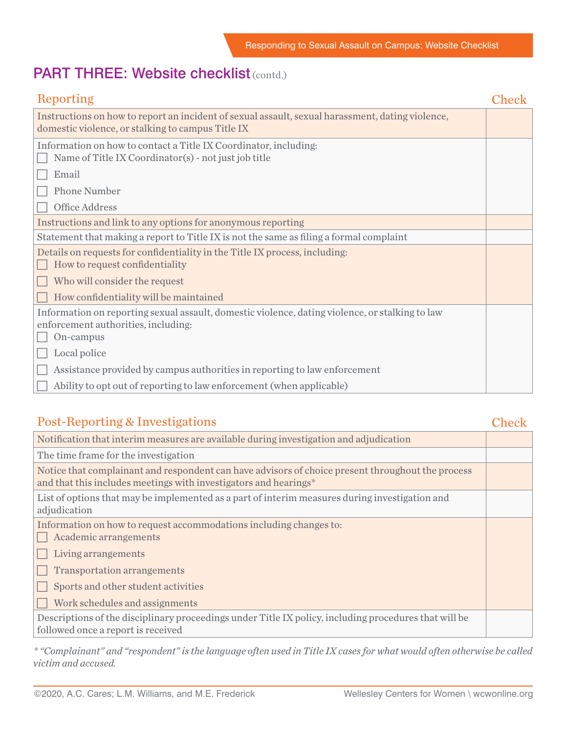### PART THREE: Website checklist (contd.)

| Reporting                                                                                                                                             | Check |
|-------------------------------------------------------------------------------------------------------------------------------------------------------|-------|
| Instructions on how to report an incident of sexual assault, sexual harassment, dating violence,<br>domestic violence, or stalking to campus Title IX |       |
| Information on how to contact a Title IX Coordinator, including:<br>Name of Title IX Coordinator(s) - not just job title                              |       |
| Email                                                                                                                                                 |       |
| <b>Phone Number</b>                                                                                                                                   |       |
| Office Address                                                                                                                                        |       |
| Instructions and link to any options for anonymous reporting                                                                                          |       |
| Statement that making a report to Title IX is not the same as filing a formal complaint                                                               |       |
| Details on requests for confidentiality in the Title IX process, including:<br>How to request confidentiality                                         |       |
| Who will consider the request                                                                                                                         |       |
| How confidentiality will be maintained                                                                                                                |       |
| Information on reporting sexual assault, domestic violence, dating violence, or stalking to law<br>enforcement authorities, including:<br>On-campus   |       |
| Local police                                                                                                                                          |       |
| Assistance provided by campus authorities in reporting to law enforcement                                                                             |       |
| Ability to opt out of reporting to law enforcement (when applicable)                                                                                  |       |

#### Post-Reporting & Investigations

| V.     | ٠ | ٩      |        |  |
|--------|---|--------|--------|--|
| $\sim$ |   | $\sim$ | $\sim$ |  |

| Notification that interim measures are available during investigation and adjudication                                                                                |  |
|-----------------------------------------------------------------------------------------------------------------------------------------------------------------------|--|
| The time frame for the investigation                                                                                                                                  |  |
| Notice that complainant and respondent can have advisors of choice present throughout the process<br>and that this includes meetings with investigators and hearings* |  |
| List of options that may be implemented as a part of interim measures during investigation and<br>adjudication                                                        |  |
| Information on how to request accommodations including changes to:<br>Academic arrangements                                                                           |  |
| Living arrangements                                                                                                                                                   |  |
| <b>Transportation arrangements</b>                                                                                                                                    |  |
| Sports and other student activities                                                                                                                                   |  |
| Work schedules and assignments                                                                                                                                        |  |
| Descriptions of the disciplinary proceedings under Title IX policy, including procedures that will be<br>followed once a report is received                           |  |
|                                                                                                                                                                       |  |

*\* "Complainant" and "respondent" is the language often used in Title IX cases for what would often otherwise be called victim and accused.*